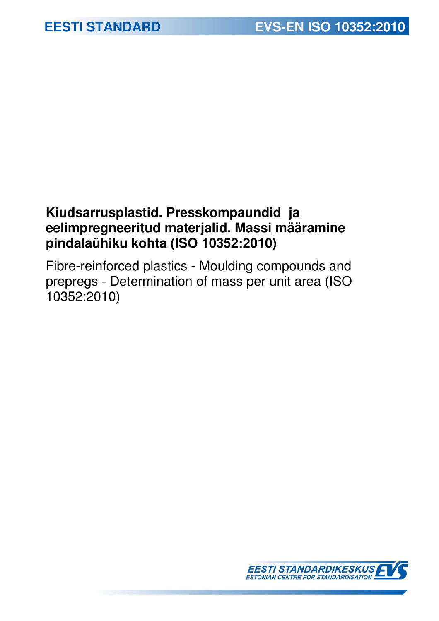## **Kiudsarrusplastid. Presskompaundid ja eelimpregneeritud materjalid. Massi määramine pindalaühiku kohta (ISO 10352:2010)**

Fibre-reinforced plastics - Moulding compounds and prepregs - Determination of mass per unit area (ISO 10352:2010)

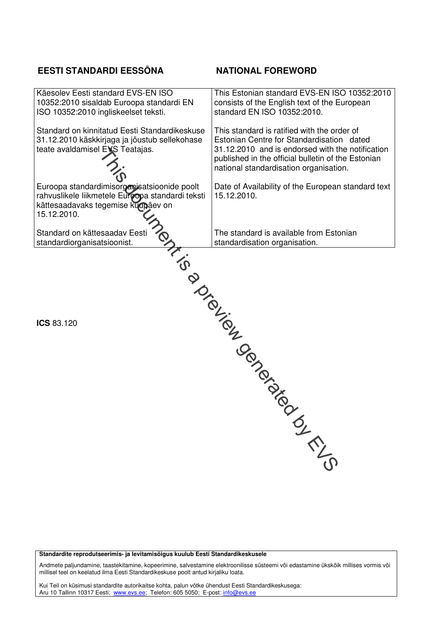### **EESTI STANDARDI EESSÕNA NATIONAL FOREWORD**

| Käesolev Eesti standard EVS-EN ISO<br>10352:2010 sisaldab Euroopa standardi EN<br>ISO 10352:2010 ingliskeelset teksti.                               | This Estonian standard EVS-EN ISO 10352:2010<br>consists of the English text of the European<br>standard EN ISO 10352:2010.                                                                                                                  |
|------------------------------------------------------------------------------------------------------------------------------------------------------|----------------------------------------------------------------------------------------------------------------------------------------------------------------------------------------------------------------------------------------------|
| Standard on kinnitatud Eesti Standardikeskuse<br>31.12.2010 käskkirjaga ja jõustub sellekohase<br>teate avaldamisel EVS Teatajas.                    | This standard is ratified with the order of<br>Estonian Centre for Standardisation dated<br>31.12.2010 and is endorsed with the notification<br>published in the official bulletin of the Estonian<br>national standardisation organisation. |
| Euroopa standardimisorganisatsioonide poolt<br>rahvuslikele liikmetele Euroopa standardi teksti<br>kättesaadavaks tegemise kuupäev on<br>15.12.2010. | Date of Availability of the European standard text<br>15.12.2010.                                                                                                                                                                            |
| Standard on kättesaadav Eesti<br>standardiorganisatsioonist.                                                                                         | The standard is available from Estonian<br>standardisation organisation.                                                                                                                                                                     |
| ICS 83.120                                                                                                                                           | LINDON TON TON DIDNEY ON DRONO<br><b>SIRING</b>                                                                                                                                                                                              |

**Standardite reprodutseerimis- ja levitamisõigus kuulub Eesti Standardikeskusele** 

Andmete paljundamine, taastekitamine, kopeerimine, salvestamine elektroonilisse süsteemi või edastamine ükskõik millises vormis või millisel teel on keelatud ilma Eesti Standardikeskuse poolt antud kirjaliku loata.

Kui Teil on küsimusi standardite autorikaitse kohta, palun võtke ühendust Eesti Standardikeskusega: Aru 10 Tallinn 10317 Eesti; <u>www.evs.ee</u>; Telefon: 605 5050; E-post: <u>info@evs.ee</u>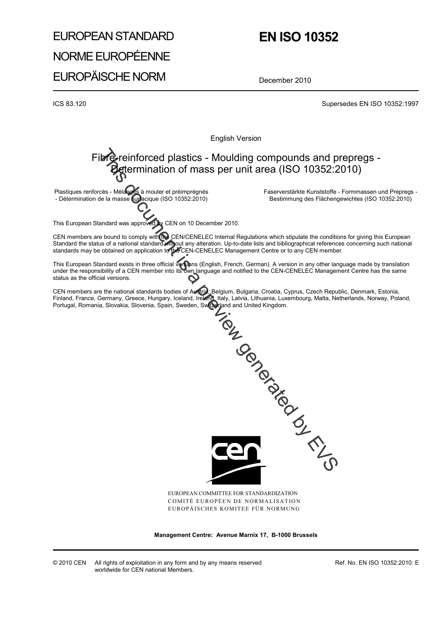# EUROPEAN STANDARD NORME EUROPÉENNE EUROPÄISCHE NORM

### **EN ISO 10352**

December 2010

ICS 83.120 Supersedes EN ISO 10352:1997

English Version

### $\bullet$  reinforced plastics - Moulding compounds and prepregs etermination of mass per unit area (ISO 10352:2010)

Plastiques renforcés - Mélanges à mouler et préimprégnés - Détermination de la masse surfacique (ISO 10352:2010)

 Faserverstärkte Kunststoffe - Formmassen und Prepregs - Bestimmung des Flächengewichtes (ISO 10352:2010)

This European Standard was approved by CEN on 10 December 2010.

CEN members are bound to comply with the CEN/CENELEC Internal Regulations which stipulate the conditions for giving this European Standard the status of a national standard without any alteration. Up-to-date lists and bibliographical references concerning such national standards may be obtained on application to the CEN-CENELEC Management Centre or to any CEN member.

This European Standard exists in three official versions (English, French, German). A version in any other language made by translation under the responsibility of a CEN member into its own language and notified to the CEN-CENELEC Management Centre has the same status as the official versions.

CEN members are the national standards bodies of Austria, Belgium, Bulgaria, Croatia, Cyprus, Czech Republic, Denmark, Estonia, Finland, France, Germany, Greece, Hungary, Iceland, Ireland, Italy, Latvia, Lithuania, Luxembourg, Malta, Netherlands, Norway, Poland, Portugal, Romania, Slovakia, Slovenia, Spain, Sweden, Switzerland and United Kingdom.



EUROPEAN COMMITTEE FOR STANDARDIZATION COMITÉ EUROPÉEN DE NORMALISATION EUROPÄISCHES KOMITEE FÜR NORMUNG

**Management Centre: Avenue Marnix 17, B-1000 Brussels** 

© 2010 CEN All rights of exploitation in any form and by any means reserved worldwide for CEN national Members.

Ref. No. EN ISO 10352:2010: E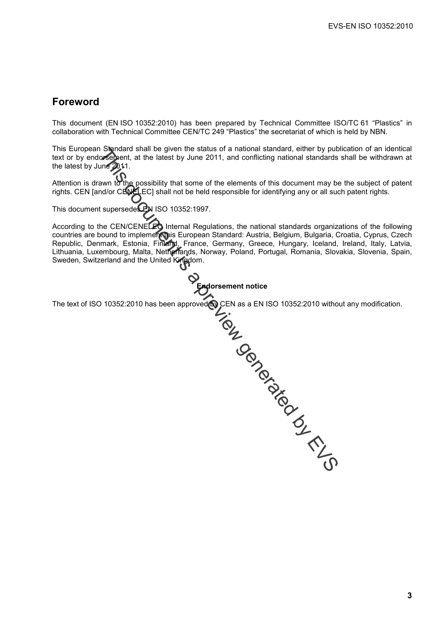### **Foreword**

This document (EN ISO 10352:2010) has been prepared by Technical Committee ISO/TC 61 "Plastics" in collaboration with Technical Committee CEN/TC 249 "Plastics" the secretariat of which is held by NBN.

This European Standard shall be given the status of a national standard, either by publication of an identical text or by endorsement, at the latest by June 2011, and conflicting national standards shall be withdrawn at the latest by June 2011.

Attention is drawn to the possibility that some of the elements of this document may be the subject of patent rights. CEN [and/or CENELEC] shall not be held responsible for identifying any or all such patent rights.

This document supersedes BN ISO 10352:1997.

According to the CEN/CENELEC Internal Regulations, the national standards organizations of the following countries are bound to implement this European Standard: Austria, Belgium, Bulgaria, Croatia, Cyprus, Czech Republic, Denmark, Estonia, Finland, France, Germany, Greece, Hungary, Iceland, Ireland, Italy, Latvia, Lithuania, Luxembourg, Malta, Netherlands, Norway, Poland, Portugal, Romania, Slovakia, Slovenia, Spain, Sweden, Switzerland and the United Kingdom.



The text of ISO 10352:2010 has been approved  $\bullet$  CEN as a EN ISO 10352:2010 without any modification.

Signard shall be given the status of a national standard, either by public of the letter by June 2011, and conflicting mational standards<br>
Signent, at the latest by June 2011, and conflicting mational standards<br>
sum to th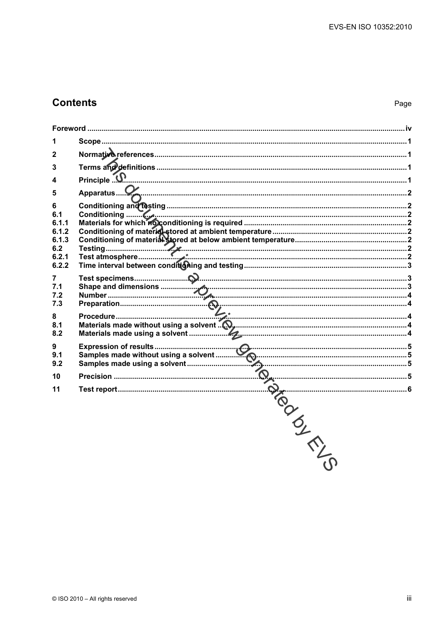### **Contents**

| 1              |  |
|----------------|--|
| $\mathbf{2}$   |  |
| 3              |  |
|                |  |
| 5              |  |
| 6              |  |
| 6.1            |  |
| 6.1.1          |  |
| 6.1.2          |  |
| 6.1.3          |  |
| 6.2<br>6.2.1   |  |
| 6.2.2          |  |
|                |  |
| $\overline{7}$ |  |
| 7.1            |  |
| 7.2<br>7.3     |  |
|                |  |
| 8              |  |
| 8.1            |  |
| 8.2            |  |
| 9              |  |
| 9.1            |  |
| 9.2            |  |
| 10             |  |
| 11             |  |
|                |  |
|                |  |
|                |  |
|                |  |
|                |  |
|                |  |
|                |  |
|                |  |
|                |  |